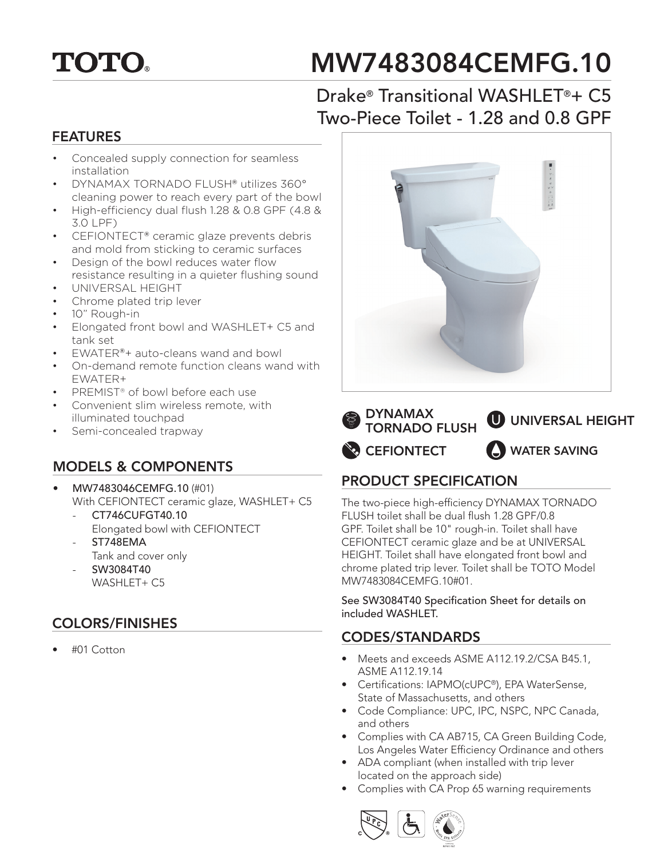# **TOTO.**

# MW7483084CEMFG.10

### Drake® Transitional WASHLET®+ C5 Two-Piece Toilet - 1.28 and 0.8 GPF

#### FEATURES

- Concealed supply connection for seamless installation
- DYNAMAX TORNADO FLUSH® utilizes 360° cleaning power to reach every part of the bowl
- High-efficiency dual flush 1.28 & 0.8 GPF (4.8 & 3.0 LPF)
- CEFIONTECT® ceramic glaze prevents debris and mold from sticking to ceramic surfaces
- Design of the bowl reduces water flow resistance resulting in a quieter flushing sound
- UNIVERSAL HEIGHT
- Chrome plated trip lever
- 10" Rough-in
- Elongated front bowl and WASHLET+ C5 and tank set
- EWATER®+ auto-cleans wand and bowl
- On-demand remote function cleans wand with EWATER+
- PREMIST® of bowl before each use
- Convenient slim wireless remote, with illuminated touchpad
- Semi-concealed trapway

#### MODELS & COMPONENTS

- MW7483046CEMFG.10 (#01) With CEFIONTECT ceramic glaze, WASHLET+ C5
	- CT746CUFGT40.10 Elongated bowl with CEFIONTECT
	- ST748EMA Tank and cover only
	- SW3084T40 WASHLET+ C5

### COLORS/FINISHES

• #01 Cotton





### PRODUCT SPECIFICATION

The two-piece high-efficiency DYNAMAX TORNADO FLUSH toilet shall be dual flush 1.28 GPF/0.8 GPF. Toilet shall be 10" rough-in. Toilet shall have CEFIONTECT ceramic glaze and be at UNIVERSAL HEIGHT. Toilet shall have elongated front bowl and chrome plated trip lever. Toilet shall be TOTO Model MW7483084CEMFG.10#01.

See SW3084T40 Specification Sheet for details on included WASHLET.

#### CODES/STANDARDS

- Meets and exceeds ASME A112.19.2/CSA B45.1, ASME A112.19.14
- Certifications: IAPMO(cUPC®), EPA WaterSense, State of Massachusetts, and others
- Code Compliance: UPC, IPC, NSPC, NPC Canada, and others
- Complies with CA AB715, CA Green Building Code, Los Angeles Water Efficiency Ordinance and others
- ADA compliant (when installed with trip lever located on the approach side)
- Complies with CA Prop 65 warning requirements